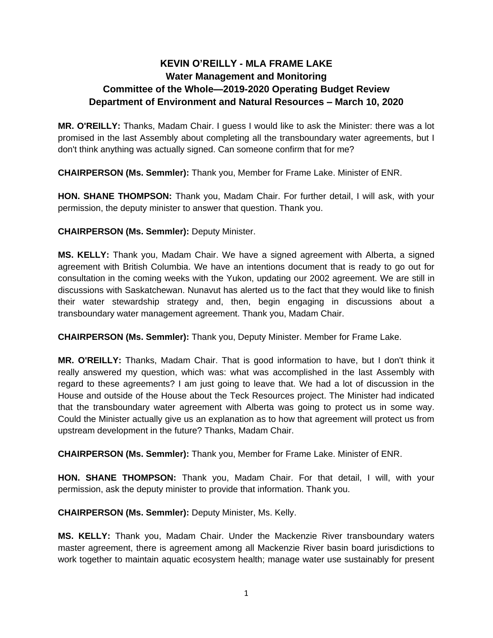## **KEVIN O'REILLY - MLA FRAME LAKE Water Management and Monitoring Committee of the Whole—2019-2020 Operating Budget Review Department of Environment and Natural Resources – March 10, 2020**

**MR. O'REILLY:** Thanks, Madam Chair. I guess I would like to ask the Minister: there was a lot promised in the last Assembly about completing all the transboundary water agreements, but I don't think anything was actually signed. Can someone confirm that for me?

**CHAIRPERSON (Ms. Semmler):** Thank you, Member for Frame Lake. Minister of ENR.

**HON. SHANE THOMPSON:** Thank you, Madam Chair. For further detail, I will ask, with your permission, the deputy minister to answer that question. Thank you.

**CHAIRPERSON (Ms. Semmler):** Deputy Minister.

**MS. KELLY:** Thank you, Madam Chair. We have a signed agreement with Alberta, a signed agreement with British Columbia. We have an intentions document that is ready to go out for consultation in the coming weeks with the Yukon, updating our 2002 agreement. We are still in discussions with Saskatchewan. Nunavut has alerted us to the fact that they would like to finish their water stewardship strategy and, then, begin engaging in discussions about a transboundary water management agreement. Thank you, Madam Chair.

**CHAIRPERSON (Ms. Semmler):** Thank you, Deputy Minister. Member for Frame Lake.

**MR. O'REILLY:** Thanks, Madam Chair. That is good information to have, but I don't think it really answered my question, which was: what was accomplished in the last Assembly with regard to these agreements? I am just going to leave that. We had a lot of discussion in the House and outside of the House about the Teck Resources project. The Minister had indicated that the transboundary water agreement with Alberta was going to protect us in some way. Could the Minister actually give us an explanation as to how that agreement will protect us from upstream development in the future? Thanks, Madam Chair.

**CHAIRPERSON (Ms. Semmler):** Thank you, Member for Frame Lake. Minister of ENR.

**HON. SHANE THOMPSON:** Thank you, Madam Chair. For that detail, I will, with your permission, ask the deputy minister to provide that information. Thank you.

**CHAIRPERSON (Ms. Semmler):** Deputy Minister, Ms. Kelly.

**MS. KELLY:** Thank you, Madam Chair. Under the Mackenzie River transboundary waters master agreement, there is agreement among all Mackenzie River basin board jurisdictions to work together to maintain aquatic ecosystem health; manage water use sustainably for present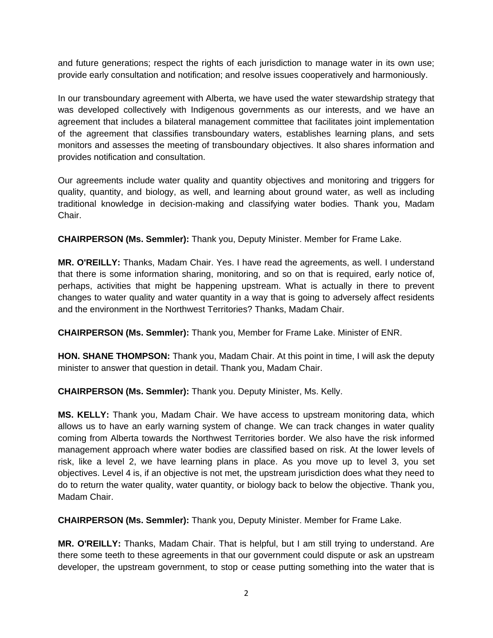and future generations; respect the rights of each jurisdiction to manage water in its own use; provide early consultation and notification; and resolve issues cooperatively and harmoniously.

In our transboundary agreement with Alberta, we have used the water stewardship strategy that was developed collectively with Indigenous governments as our interests, and we have an agreement that includes a bilateral management committee that facilitates joint implementation of the agreement that classifies transboundary waters, establishes learning plans, and sets monitors and assesses the meeting of transboundary objectives. It also shares information and provides notification and consultation.

Our agreements include water quality and quantity objectives and monitoring and triggers for quality, quantity, and biology, as well, and learning about ground water, as well as including traditional knowledge in decision-making and classifying water bodies. Thank you, Madam Chair.

**CHAIRPERSON (Ms. Semmler):** Thank you, Deputy Minister. Member for Frame Lake.

**MR. O'REILLY:** Thanks, Madam Chair. Yes. I have read the agreements, as well. I understand that there is some information sharing, monitoring, and so on that is required, early notice of, perhaps, activities that might be happening upstream. What is actually in there to prevent changes to water quality and water quantity in a way that is going to adversely affect residents and the environment in the Northwest Territories? Thanks, Madam Chair.

**CHAIRPERSON (Ms. Semmler):** Thank you, Member for Frame Lake. Minister of ENR.

**HON. SHANE THOMPSON:** Thank you, Madam Chair. At this point in time, I will ask the deputy minister to answer that question in detail. Thank you, Madam Chair.

**CHAIRPERSON (Ms. Semmler):** Thank you. Deputy Minister, Ms. Kelly.

**MS. KELLY:** Thank you, Madam Chair. We have access to upstream monitoring data, which allows us to have an early warning system of change. We can track changes in water quality coming from Alberta towards the Northwest Territories border. We also have the risk informed management approach where water bodies are classified based on risk. At the lower levels of risk, like a level 2, we have learning plans in place. As you move up to level 3, you set objectives. Level 4 is, if an objective is not met, the upstream jurisdiction does what they need to do to return the water quality, water quantity, or biology back to below the objective. Thank you, Madam Chair.

**CHAIRPERSON (Ms. Semmler):** Thank you, Deputy Minister. Member for Frame Lake.

**MR. O'REILLY:** Thanks, Madam Chair. That is helpful, but I am still trying to understand. Are there some teeth to these agreements in that our government could dispute or ask an upstream developer, the upstream government, to stop or cease putting something into the water that is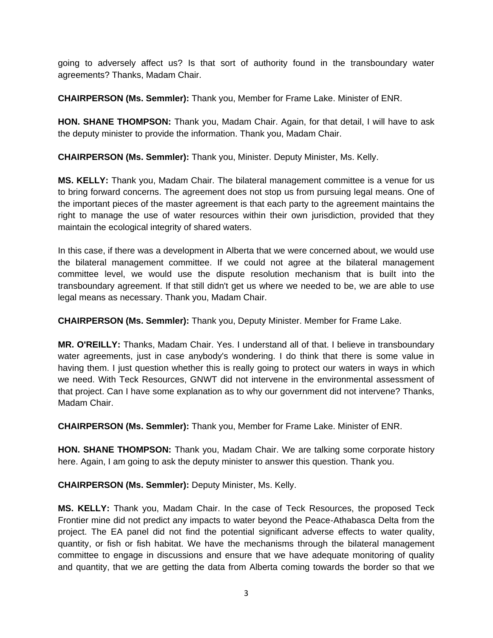going to adversely affect us? Is that sort of authority found in the transboundary water agreements? Thanks, Madam Chair.

**CHAIRPERSON (Ms. Semmler):** Thank you, Member for Frame Lake. Minister of ENR.

**HON. SHANE THOMPSON:** Thank you, Madam Chair. Again, for that detail, I will have to ask the deputy minister to provide the information. Thank you, Madam Chair.

**CHAIRPERSON (Ms. Semmler):** Thank you, Minister. Deputy Minister, Ms. Kelly.

**MS. KELLY:** Thank you, Madam Chair. The bilateral management committee is a venue for us to bring forward concerns. The agreement does not stop us from pursuing legal means. One of the important pieces of the master agreement is that each party to the agreement maintains the right to manage the use of water resources within their own jurisdiction, provided that they maintain the ecological integrity of shared waters.

In this case, if there was a development in Alberta that we were concerned about, we would use the bilateral management committee. If we could not agree at the bilateral management committee level, we would use the dispute resolution mechanism that is built into the transboundary agreement. If that still didn't get us where we needed to be, we are able to use legal means as necessary. Thank you, Madam Chair.

**CHAIRPERSON (Ms. Semmler):** Thank you, Deputy Minister. Member for Frame Lake.

**MR. O'REILLY:** Thanks, Madam Chair. Yes. I understand all of that. I believe in transboundary water agreements, just in case anybody's wondering. I do think that there is some value in having them. I just question whether this is really going to protect our waters in ways in which we need. With Teck Resources, GNWT did not intervene in the environmental assessment of that project. Can I have some explanation as to why our government did not intervene? Thanks, Madam Chair.

**CHAIRPERSON (Ms. Semmler):** Thank you, Member for Frame Lake. Minister of ENR.

**HON. SHANE THOMPSON:** Thank you, Madam Chair. We are talking some corporate history here. Again, I am going to ask the deputy minister to answer this question. Thank you.

**CHAIRPERSON (Ms. Semmler):** Deputy Minister, Ms. Kelly.

**MS. KELLY:** Thank you, Madam Chair. In the case of Teck Resources, the proposed Teck Frontier mine did not predict any impacts to water beyond the Peace-Athabasca Delta from the project. The EA panel did not find the potential significant adverse effects to water quality, quantity, or fish or fish habitat. We have the mechanisms through the bilateral management committee to engage in discussions and ensure that we have adequate monitoring of quality and quantity, that we are getting the data from Alberta coming towards the border so that we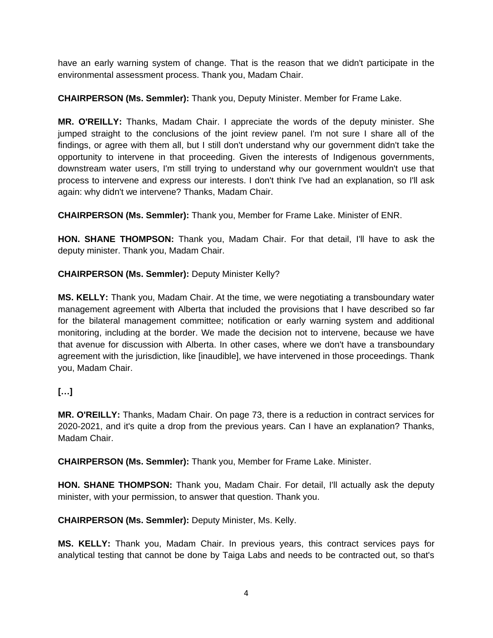have an early warning system of change. That is the reason that we didn't participate in the environmental assessment process. Thank you, Madam Chair.

**CHAIRPERSON (Ms. Semmler):** Thank you, Deputy Minister. Member for Frame Lake.

**MR. O'REILLY:** Thanks, Madam Chair. I appreciate the words of the deputy minister. She jumped straight to the conclusions of the joint review panel. I'm not sure I share all of the findings, or agree with them all, but I still don't understand why our government didn't take the opportunity to intervene in that proceeding. Given the interests of Indigenous governments, downstream water users, I'm still trying to understand why our government wouldn't use that process to intervene and express our interests. I don't think I've had an explanation, so I'll ask again: why didn't we intervene? Thanks, Madam Chair.

**CHAIRPERSON (Ms. Semmler):** Thank you, Member for Frame Lake. Minister of ENR.

**HON. SHANE THOMPSON:** Thank you, Madam Chair. For that detail, I'll have to ask the deputy minister. Thank you, Madam Chair.

**CHAIRPERSON (Ms. Semmler):** Deputy Minister Kelly?

**MS. KELLY:** Thank you, Madam Chair. At the time, we were negotiating a transboundary water management agreement with Alberta that included the provisions that I have described so far for the bilateral management committee; notification or early warning system and additional monitoring, including at the border. We made the decision not to intervene, because we have that avenue for discussion with Alberta. In other cases, where we don't have a transboundary agreement with the jurisdiction, like [inaudible], we have intervened in those proceedings. Thank you, Madam Chair.

## **[…]**

**MR. O'REILLY:** Thanks, Madam Chair. On page 73, there is a reduction in contract services for 2020-2021, and it's quite a drop from the previous years. Can I have an explanation? Thanks, Madam Chair.

**CHAIRPERSON (Ms. Semmler):** Thank you, Member for Frame Lake. Minister.

**HON. SHANE THOMPSON:** Thank you, Madam Chair. For detail, I'll actually ask the deputy minister, with your permission, to answer that question. Thank you.

**CHAIRPERSON (Ms. Semmler):** Deputy Minister, Ms. Kelly.

**MS. KELLY:** Thank you, Madam Chair. In previous years, this contract services pays for analytical testing that cannot be done by Taiga Labs and needs to be contracted out, so that's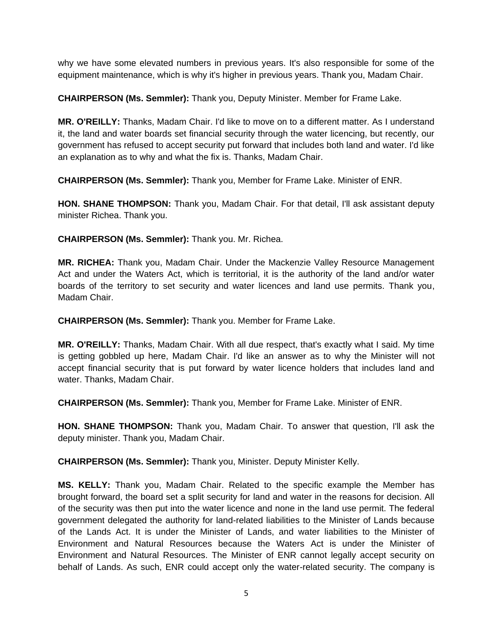why we have some elevated numbers in previous years. It's also responsible for some of the equipment maintenance, which is why it's higher in previous years. Thank you, Madam Chair.

**CHAIRPERSON (Ms. Semmler):** Thank you, Deputy Minister. Member for Frame Lake.

**MR. O'REILLY:** Thanks, Madam Chair. I'd like to move on to a different matter. As I understand it, the land and water boards set financial security through the water licencing, but recently, our government has refused to accept security put forward that includes both land and water. I'd like an explanation as to why and what the fix is. Thanks, Madam Chair.

**CHAIRPERSON (Ms. Semmler):** Thank you, Member for Frame Lake. Minister of ENR.

**HON. SHANE THOMPSON:** Thank you, Madam Chair. For that detail, I'll ask assistant deputy minister Richea. Thank you.

**CHAIRPERSON (Ms. Semmler):** Thank you. Mr. Richea.

**MR. RICHEA:** Thank you, Madam Chair. Under the Mackenzie Valley Resource Management Act and under the Waters Act, which is territorial, it is the authority of the land and/or water boards of the territory to set security and water licences and land use permits. Thank you, Madam Chair.

**CHAIRPERSON (Ms. Semmler):** Thank you. Member for Frame Lake.

**MR. O'REILLY:** Thanks, Madam Chair. With all due respect, that's exactly what I said. My time is getting gobbled up here, Madam Chair. I'd like an answer as to why the Minister will not accept financial security that is put forward by water licence holders that includes land and water. Thanks, Madam Chair.

**CHAIRPERSON (Ms. Semmler):** Thank you, Member for Frame Lake. Minister of ENR.

**HON. SHANE THOMPSON:** Thank you, Madam Chair. To answer that question, I'll ask the deputy minister. Thank you, Madam Chair.

**CHAIRPERSON (Ms. Semmler):** Thank you, Minister. Deputy Minister Kelly.

**MS. KELLY:** Thank you, Madam Chair. Related to the specific example the Member has brought forward, the board set a split security for land and water in the reasons for decision. All of the security was then put into the water licence and none in the land use permit. The federal government delegated the authority for land-related liabilities to the Minister of Lands because of the Lands Act. It is under the Minister of Lands, and water liabilities to the Minister of Environment and Natural Resources because the Waters Act is under the Minister of Environment and Natural Resources. The Minister of ENR cannot legally accept security on behalf of Lands. As such, ENR could accept only the water-related security. The company is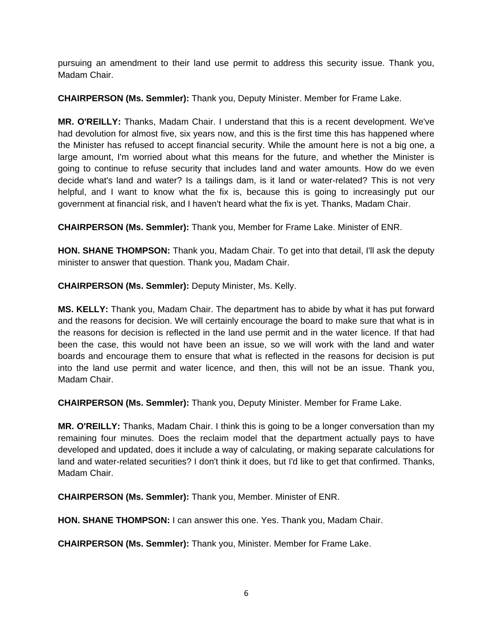pursuing an amendment to their land use permit to address this security issue. Thank you, Madam Chair.

**CHAIRPERSON (Ms. Semmler):** Thank you, Deputy Minister. Member for Frame Lake.

**MR. O'REILLY:** Thanks, Madam Chair. I understand that this is a recent development. We've had devolution for almost five, six years now, and this is the first time this has happened where the Minister has refused to accept financial security. While the amount here is not a big one, a large amount, I'm worried about what this means for the future, and whether the Minister is going to continue to refuse security that includes land and water amounts. How do we even decide what's land and water? Is a tailings dam, is it land or water-related? This is not very helpful, and I want to know what the fix is, because this is going to increasingly put our government at financial risk, and I haven't heard what the fix is yet. Thanks, Madam Chair.

**CHAIRPERSON (Ms. Semmler):** Thank you, Member for Frame Lake. Minister of ENR.

**HON. SHANE THOMPSON:** Thank you, Madam Chair. To get into that detail, I'll ask the deputy minister to answer that question. Thank you, Madam Chair.

**CHAIRPERSON (Ms. Semmler):** Deputy Minister, Ms. Kelly.

**MS. KELLY:** Thank you, Madam Chair. The department has to abide by what it has put forward and the reasons for decision. We will certainly encourage the board to make sure that what is in the reasons for decision is reflected in the land use permit and in the water licence. If that had been the case, this would not have been an issue, so we will work with the land and water boards and encourage them to ensure that what is reflected in the reasons for decision is put into the land use permit and water licence, and then, this will not be an issue. Thank you, Madam Chair.

**CHAIRPERSON (Ms. Semmler):** Thank you, Deputy Minister. Member for Frame Lake.

**MR. O'REILLY:** Thanks, Madam Chair. I think this is going to be a longer conversation than my remaining four minutes. Does the reclaim model that the department actually pays to have developed and updated, does it include a way of calculating, or making separate calculations for land and water-related securities? I don't think it does, but I'd like to get that confirmed. Thanks, Madam Chair.

**CHAIRPERSON (Ms. Semmler):** Thank you, Member. Minister of ENR.

**HON. SHANE THOMPSON:** I can answer this one. Yes. Thank you, Madam Chair.

**CHAIRPERSON (Ms. Semmler):** Thank you, Minister. Member for Frame Lake.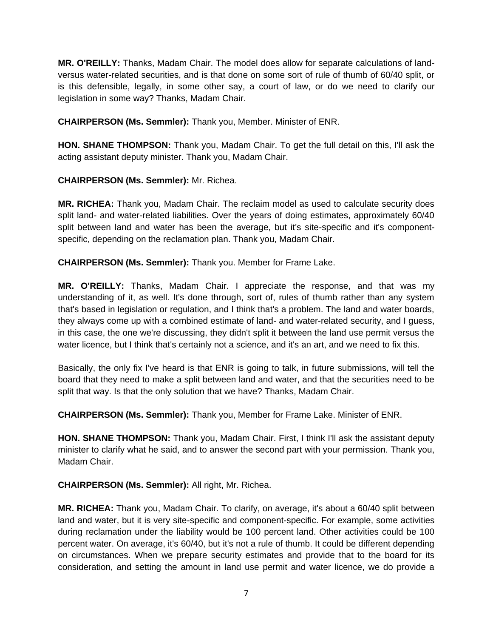**MR. O'REILLY:** Thanks, Madam Chair. The model does allow for separate calculations of landversus water-related securities, and is that done on some sort of rule of thumb of 60/40 split, or is this defensible, legally, in some other say, a court of law, or do we need to clarify our legislation in some way? Thanks, Madam Chair.

**CHAIRPERSON (Ms. Semmler):** Thank you, Member. Minister of ENR.

**HON. SHANE THOMPSON:** Thank you, Madam Chair. To get the full detail on this, I'll ask the acting assistant deputy minister. Thank you, Madam Chair.

## **CHAIRPERSON (Ms. Semmler):** Mr. Richea.

**MR. RICHEA:** Thank you, Madam Chair. The reclaim model as used to calculate security does split land- and water-related liabilities. Over the years of doing estimates, approximately 60/40 split between land and water has been the average, but it's site-specific and it's componentspecific, depending on the reclamation plan. Thank you, Madam Chair.

**CHAIRPERSON (Ms. Semmler):** Thank you. Member for Frame Lake.

**MR. O'REILLY:** Thanks, Madam Chair. I appreciate the response, and that was my understanding of it, as well. It's done through, sort of, rules of thumb rather than any system that's based in legislation or regulation, and I think that's a problem. The land and water boards, they always come up with a combined estimate of land- and water-related security, and I guess, in this case, the one we're discussing, they didn't split it between the land use permit versus the water licence, but I think that's certainly not a science, and it's an art, and we need to fix this.

Basically, the only fix I've heard is that ENR is going to talk, in future submissions, will tell the board that they need to make a split between land and water, and that the securities need to be split that way. Is that the only solution that we have? Thanks, Madam Chair.

**CHAIRPERSON (Ms. Semmler):** Thank you, Member for Frame Lake. Minister of ENR.

**HON. SHANE THOMPSON:** Thank you, Madam Chair. First, I think I'll ask the assistant deputy minister to clarify what he said, and to answer the second part with your permission. Thank you, Madam Chair.

**CHAIRPERSON (Ms. Semmler):** All right, Mr. Richea.

**MR. RICHEA:** Thank you, Madam Chair. To clarify, on average, it's about a 60/40 split between land and water, but it is very site-specific and component-specific. For example, some activities during reclamation under the liability would be 100 percent land. Other activities could be 100 percent water. On average, it's 60/40, but it's not a rule of thumb. It could be different depending on circumstances. When we prepare security estimates and provide that to the board for its consideration, and setting the amount in land use permit and water licence, we do provide a